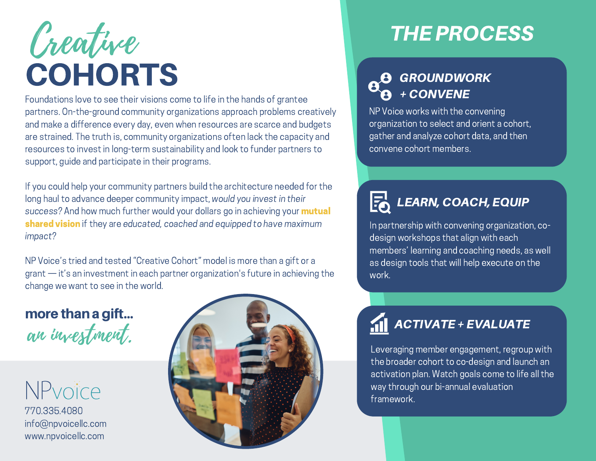# **COHORTS** Creative

Foundations love to see their visions come to life in the hands of grantee partners. On-the-ground community organizations approach problems creatively and make a difference every day, even when resources are scarce and budgets are strained. The truth is, community organizations often lack the capacity and resources to invest in long-term sustainability and look to funder partners to support, guide and participate in their programs.

If you could help your community partners build the architecture needed for the long haul to advance deeper community impact, would you invest in their success? And how much further would your dollars go in achieving your **mutual** shared vision if they are educated, coached and equipped to have maximum impact?

NP Voice's tried and tested "Creative Cohort" model is more than a gift or a  $g$ rant  $-$  it's an investment in each partner organization's future in achieving the change we want to see in the world.

### more than a gift... an investment.

# NPvoice

770.335.4080 info@npvoicellc.com www.npvoicellc.com



# **THE PROCESS**

#### **A** GROUNDWORK +CONVENE

NP Voice works with the convening organization to select and orient a cohort, gather and analyze cohort data, and then convene cohort members.

#### **LEARN, COACH, EQUIP**

In partnership with convening organization, codesign workshops that align with each members' learning and coaching needs, as well as design tools that will help execute on the work.

## ACTIVATE+EVALUATE

Leveraging member engagement, regroup with the broader cohort to co-design and launch an activation plan. Watch goals come to life all the way through our bi-annual evaluation framework.